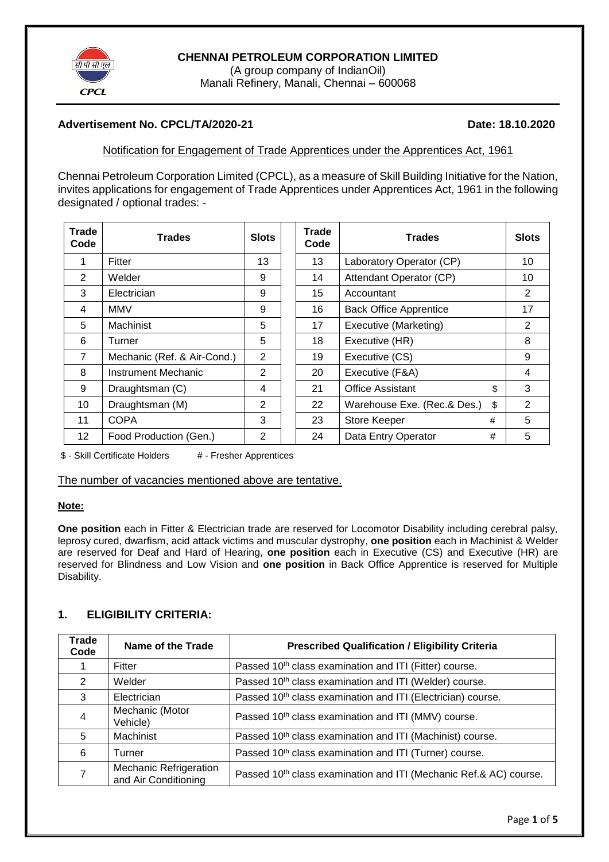

## **CHENNAI PETROLEUM CORPORATION LIMITED**

(A group company of IndianOil) Manali Refinery, Manali, Chennai – 600068

## **Advertisement No. CPCL/TA/2020-21 Date: 18.10.2020**

Notification for Engagement of Trade Apprentices under the Apprentices Act, 1961

Chennai Petroleum Corporation Limited (CPCL), as a measure of Skill Building Initiative for the Nation, invites applications for engagement of Trade Apprentices under Apprentices Act, 1961 in the following designated / optional trades: -

| <b>Trade</b><br>Code | <b>Trades</b>               | <b>Slots</b> | <b>Trade</b><br>Code | <b>Trades</b>                     | <b>Slots</b>   |  |
|----------------------|-----------------------------|--------------|----------------------|-----------------------------------|----------------|--|
| 1                    | Fitter                      | 13           | 13                   | Laboratory Operator (CP)          | 10             |  |
| 2                    | Welder                      | 9            | 14                   | Attendant Operator (CP)           | 10             |  |
| 3                    | Electrician                 | 9            | 15                   | Accountant                        | $\overline{2}$ |  |
| 4                    | <b>MMV</b>                  | 9            | 16                   | <b>Back Office Apprentice</b>     | 17             |  |
| 5                    | Machinist                   | 5            | 17                   | Executive (Marketing)             | $\overline{2}$ |  |
| 6                    | Turner                      | 5            | 18                   | Executive (HR)                    | 8              |  |
| $\overline{7}$       | Mechanic (Ref. & Air-Cond.) | 2            | 19                   | Executive (CS)                    | 9              |  |
| 8                    | Instrument Mechanic         | 2            | 20                   | Executive (F&A)                   | 4              |  |
| 9                    | Draughtsman (C)             | 4            | 21                   | <b>Office Assistant</b><br>\$     | 3              |  |
| 10                   | Draughtsman (M)             | 2            | 22                   | Warehouse Exe. (Rec.& Des.)<br>\$ | $\overline{2}$ |  |
| 11                   | <b>COPA</b>                 | 3            | 23                   | Store Keeper<br>#                 | 5              |  |
| 12 <sub>2</sub>      | Food Production (Gen.)      | 2            | 24                   | Data Entry Operator<br>#          | 5              |  |

\$ - Skill Certificate Holders # - Fresher Apprentices

The number of vacancies mentioned above are tentative.

#### **Note:**

**One position** each in Fitter & Electrician trade are reserved for Locomotor Disability including cerebral palsy, leprosy cured, dwarfism, acid attack victims and muscular dystrophy, **one position** each in Machinist & Welder are reserved for Deaf and Hard of Hearing, **one position** each in Executive (CS) and Executive (HR) are reserved for Blindness and Low Vision and **one position** in Back Office Apprentice is reserved for Multiple Disability.

## **1. ELIGIBILITY CRITERIA:**

| <b>Trade</b><br>Code | Name of the Trade                              | <b>Prescribed Qualification / Eligibility Criteria</b>                  |
|----------------------|------------------------------------------------|-------------------------------------------------------------------------|
|                      | Fitter                                         | Passed 10 <sup>th</sup> class examination and ITI (Fitter) course.      |
| 2                    | Welder                                         | Passed 10 <sup>th</sup> class examination and ITI (Welder) course.      |
| 3                    | Electrician                                    | Passed 10 <sup>th</sup> class examination and ITI (Electrician) course. |
| 4                    | Mechanic (Motor<br>Vehicle)                    | Passed 10 <sup>th</sup> class examination and ITI (MMV) course.         |
| 5                    | Machinist                                      | Passed 10 <sup>th</sup> class examination and ITI (Machinist) course.   |
| 6                    | Turner                                         | Passed 10 <sup>th</sup> class examination and ITI (Turner) course.      |
|                      | Mechanic Refrigeration<br>and Air Conditioning | Passed 10th class examination and ITI (Mechanic Ref.& AC) course.       |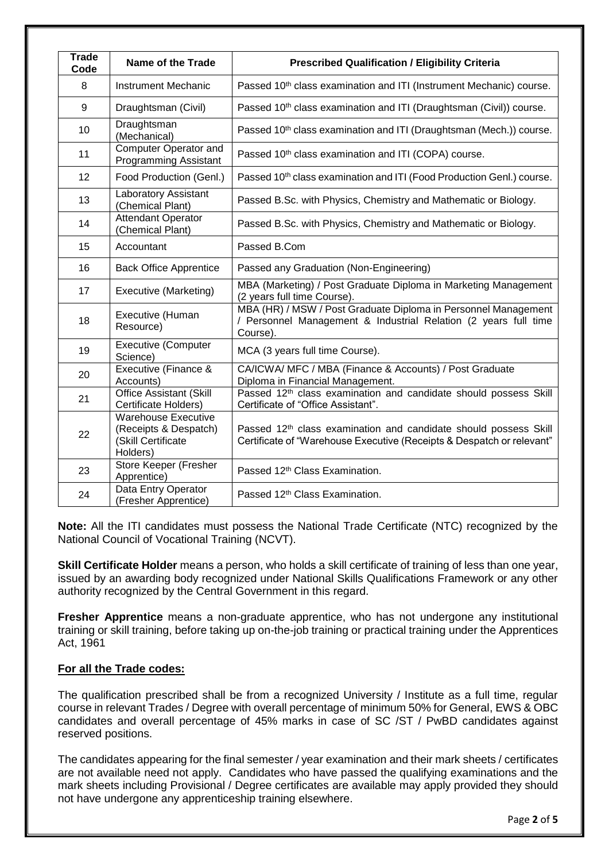| <b>Trade</b><br>Code | Name of the Trade                                                                     | <b>Prescribed Qualification / Eligibility Criteria</b>                                                                                                |
|----------------------|---------------------------------------------------------------------------------------|-------------------------------------------------------------------------------------------------------------------------------------------------------|
| 8                    | <b>Instrument Mechanic</b>                                                            | Passed 10 <sup>th</sup> class examination and ITI (Instrument Mechanic) course.                                                                       |
| 9                    | Draughtsman (Civil)                                                                   | Passed 10 <sup>th</sup> class examination and ITI (Draughtsman (Civil)) course.                                                                       |
| 10                   | Draughtsman<br>(Mechanical)                                                           | Passed 10 <sup>th</sup> class examination and ITI (Draughtsman (Mech.)) course.                                                                       |
| 11                   | <b>Computer Operator and</b><br><b>Programming Assistant</b>                          | Passed 10 <sup>th</sup> class examination and ITI (COPA) course.                                                                                      |
| 12                   | Food Production (Genl.)                                                               | Passed 10 <sup>th</sup> class examination and ITI (Food Production Genl.) course.                                                                     |
| 13                   | Laboratory Assistant<br>(Chemical Plant)                                              | Passed B.Sc. with Physics, Chemistry and Mathematic or Biology.                                                                                       |
| 14                   | <b>Attendant Operator</b><br>(Chemical Plant)                                         | Passed B.Sc. with Physics, Chemistry and Mathematic or Biology.                                                                                       |
| 15                   | Accountant                                                                            | Passed B.Com                                                                                                                                          |
| 16                   | <b>Back Office Apprentice</b>                                                         | Passed any Graduation (Non-Engineering)                                                                                                               |
| 17                   | Executive (Marketing)                                                                 | MBA (Marketing) / Post Graduate Diploma in Marketing Management<br>(2 years full time Course).                                                        |
| 18                   | Executive (Human<br>Resource)                                                         | MBA (HR) / MSW / Post Graduate Diploma in Personnel Management<br>/ Personnel Management & Industrial Relation (2 years full time<br>Course).         |
| 19                   | <b>Executive (Computer</b><br>Science)                                                | MCA (3 years full time Course).                                                                                                                       |
| 20                   | Executive (Finance &<br>Accounts)                                                     | CA/ICWA/ MFC / MBA (Finance & Accounts) / Post Graduate<br>Diploma in Financial Management.                                                           |
| 21                   | <b>Office Assistant (Skill</b><br>Certificate Holders)                                | Passed 12 <sup>th</sup> class examination and candidate should possess Skill<br>Certificate of "Office Assistant".                                    |
| 22                   | <b>Warehouse Executive</b><br>(Receipts & Despatch)<br>(Skill Certificate<br>Holders) | Passed 12 <sup>th</sup> class examination and candidate should possess Skill<br>Certificate of "Warehouse Executive (Receipts & Despatch or relevant" |
| 23                   | Store Keeper (Fresher<br>Apprentice)                                                  | Passed 12 <sup>th</sup> Class Examination.                                                                                                            |
| 24                   | Data Entry Operator<br>(Fresher Apprentice)                                           | Passed 12 <sup>th</sup> Class Examination.                                                                                                            |

**Note:** All the ITI candidates must possess the National Trade Certificate (NTC) recognized by the National Council of Vocational Training (NCVT).

**Skill Certificate Holder** means a person, who holds a skill certificate of training of less than one year, issued by an awarding body recognized under National Skills Qualifications Framework or any other authority recognized by the Central Government in this regard.

**Fresher Apprentice** means a non-graduate apprentice, who has not undergone any institutional training or skill training, before taking up on-the-job training or practical training under the Apprentices Act, 1961

## **For all the Trade codes:**

The qualification prescribed shall be from a recognized University / Institute as a full time, regular course in relevant Trades / Degree with overall percentage of minimum 50% for General, EWS & OBC candidates and overall percentage of 45% marks in case of SC /ST / PwBD candidates against reserved positions.

The candidates appearing for the final semester / year examination and their mark sheets / certificates are not available need not apply. Candidates who have passed the qualifying examinations and the mark sheets including Provisional / Degree certificates are available may apply provided they should not have undergone any apprenticeship training elsewhere.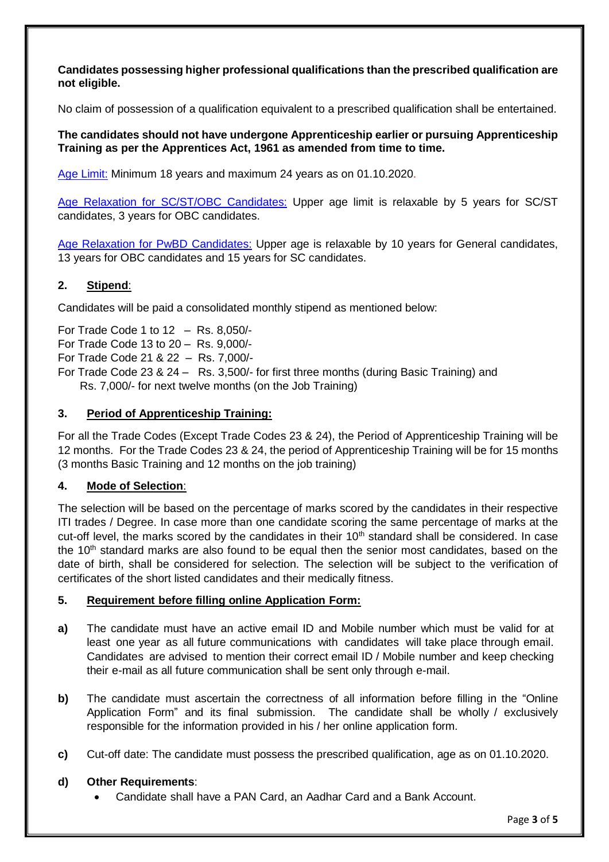**Candidates possessing higher professional qualifications than the prescribed qualification are not eligible.**

No claim of possession of a qualification equivalent to a prescribed qualification shall be entertained.

## **The candidates should not have undergone Apprenticeship earlier or pursuing Apprenticeship Training as per the Apprentices Act, 1961 as amended from time to time.**

Age Limit: Minimum 18 years and maximum 24 years as on 01.10.2020.

Age Relaxation for SC/ST/OBC Candidates: Upper age limit is relaxable by 5 years for SC/ST candidates, 3 years for OBC candidates.

Age Relaxation for PwBD Candidates: Upper age is relaxable by 10 years for General candidates, 13 years for OBC candidates and 15 years for SC candidates.

# **2. Stipend**:

Candidates will be paid a consolidated monthly stipend as mentioned below:

For Trade Code 1 to 12 – Rs. 8,050/- For Trade Code 13 to 20 – Rs. 9,000/- For Trade Code 21 & 22 – Rs. 7,000/-

For Trade Code 23 & 24 – Rs. 3,500/- for first three months (during Basic Training) and Rs. 7,000/- for next twelve months (on the Job Training)

## **3. Period of Apprenticeship Training:**

For all the Trade Codes (Except Trade Codes 23 & 24), the Period of Apprenticeship Training will be 12 months. For the Trade Codes 23 & 24, the period of Apprenticeship Training will be for 15 months (3 months Basic Training and 12 months on the job training)

## **4. Mode of Selection**:

The selection will be based on the percentage of marks scored by the candidates in their respective ITI trades / Degree. In case more than one candidate scoring the same percentage of marks at the cut-off level, the marks scored by the candidates in their 10<sup>th</sup> standard shall be considered. In case the 10<sup>th</sup> standard marks are also found to be equal then the senior most candidates, based on the date of birth, shall be considered for selection. The selection will be subject to the verification of certificates of the short listed candidates and their medically fitness.

## **5. Requirement before filling online Application Form:**

- **a)** The candidate must have an active email ID and Mobile number which must be valid for at least one year as all future communications with candidates will take place through email. Candidates are advised to mention their correct email ID / Mobile number and keep checking their e-mail as all future communication shall be sent only through e-mail.
- **b)** The candidate must ascertain the correctness of all information before filling in the "Online" Application Form" and its final submission. The candidate shall be wholly / exclusively responsible for the information provided in his / her online application form.
- **c)** Cut-off date: The candidate must possess the prescribed qualification, age as on 01.10.2020.

## **d) Other Requirements**:

Candidate shall have a PAN Card, an Aadhar Card and a Bank Account.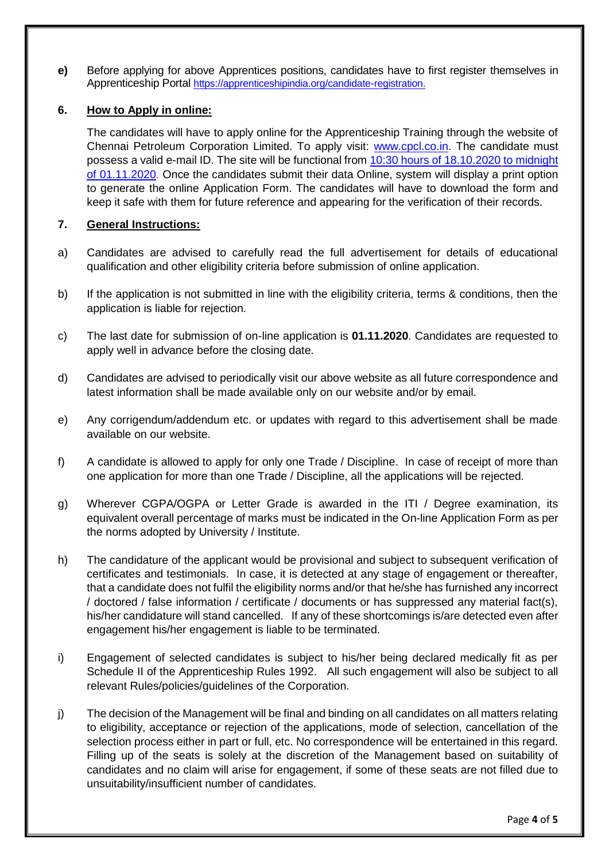**e)** Before applying for above Apprentices positions, candidates have to first register themselves in Apprenticeship Portal [https://apprenticeshipindia.org/candidate-registration.](https://apprenticeshipindia.org/candidate-registration)

## **6. How to Apply in online:**

The candidates will have to apply online for the Apprenticeship Training through the website of Chennai Petroleum Corporation Limited. To apply visit: [www.cpcl.co.in.](http://www.cpcl.co.in/) The candidate must possess a valid e-mail ID. The site will be functional from 10:30 hours of 18.10.2020 to midnight of 01.11.2020. Once the candidates submit their data Online, system will display a print option to generate the online Application Form. The candidates will have to download the form and keep it safe with them for future reference and appearing for the verification of their records.

## **7. General Instructions:**

- a) Candidates are advised to carefully read the full advertisement for details of educational qualification and other eligibility criteria before submission of online application.
- b) If the application is not submitted in line with the eligibility criteria, terms & conditions, then the application is liable for rejection.
- c) The last date for submission of on-line application is **01.11.2020**. Candidates are requested to apply well in advance before the closing date.
- d) Candidates are advised to periodically visit our above website as all future correspondence and latest information shall be made available only on our website and/or by email.
- e) Any corrigendum/addendum etc. or updates with regard to this advertisement shall be made available on our website.
- f) A candidate is allowed to apply for only one Trade / Discipline. In case of receipt of more than one application for more than one Trade / Discipline, all the applications will be rejected.
- g) Wherever CGPA/OGPA or Letter Grade is awarded in the ITI / Degree examination, its equivalent overall percentage of marks must be indicated in the On-line Application Form as per the norms adopted by University / Institute.
- h) The candidature of the applicant would be provisional and subject to subsequent verification of certificates and testimonials. In case, it is detected at any stage of engagement or thereafter, that a candidate does not fulfil the eligibility norms and/or that he/she has furnished any incorrect / doctored / false information / certificate / documents or has suppressed any material fact(s), his/her candidature will stand cancelled. If any of these shortcomings is/are detected even after engagement his/her engagement is liable to be terminated.
- i) Engagement of selected candidates is subject to his/her being declared medically fit as per Schedule II of the Apprenticeship Rules 1992. All such engagement will also be subject to all relevant Rules/policies/guidelines of the Corporation.
- j) The decision of the Management will be final and binding on all candidates on all matters relating to eligibility, acceptance or rejection of the applications, mode of selection, cancellation of the selection process either in part or full, etc. No correspondence will be entertained in this regard. Filling up of the seats is solely at the discretion of the Management based on suitability of candidates and no claim will arise for engagement, if some of these seats are not filled due to unsuitability/insufficient number of candidates.